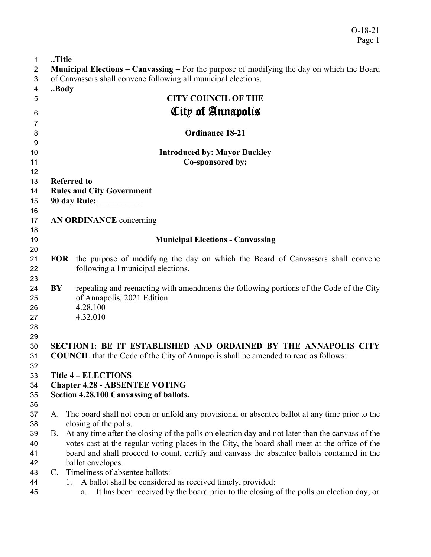O-18-21 Page 1

| $\mathbf{1}$   | Title                                                                                             |                                                                                                  |  |
|----------------|---------------------------------------------------------------------------------------------------|--------------------------------------------------------------------------------------------------|--|
| $\overline{2}$ | <b>Municipal Elections – Canvassing – For the purpose of modifying the day on which the Board</b> |                                                                                                  |  |
| 3              | of Canvassers shall convene following all municipal elections.                                    |                                                                                                  |  |
| 4              | Body                                                                                              |                                                                                                  |  |
| 5              |                                                                                                   | <b>CITY COUNCIL OF THE</b>                                                                       |  |
| 6              |                                                                                                   | City of Annapolis                                                                                |  |
| 7              |                                                                                                   |                                                                                                  |  |
| 8              |                                                                                                   | <b>Ordinance 18-21</b>                                                                           |  |
| 9              |                                                                                                   |                                                                                                  |  |
| 10             |                                                                                                   | <b>Introduced by: Mayor Buckley</b>                                                              |  |
| 11             |                                                                                                   | Co-sponsored by:                                                                                 |  |
| 12             |                                                                                                   |                                                                                                  |  |
| 13             |                                                                                                   |                                                                                                  |  |
|                | <b>Referred to</b>                                                                                |                                                                                                  |  |
| 14             | <b>Rules and City Government</b><br>90 day Rule:                                                  |                                                                                                  |  |
| 15             |                                                                                                   |                                                                                                  |  |
| 16             |                                                                                                   |                                                                                                  |  |
| 17             |                                                                                                   | <b>AN ORDINANCE</b> concerning                                                                   |  |
| 18             |                                                                                                   |                                                                                                  |  |
| 19             |                                                                                                   | <b>Municipal Elections - Canvassing</b>                                                          |  |
| 20             |                                                                                                   |                                                                                                  |  |
| 21             | <b>FOR</b>                                                                                        | the purpose of modifying the day on which the Board of Canvassers shall convene                  |  |
| 22             |                                                                                                   | following all municipal elections.                                                               |  |
| 23             |                                                                                                   |                                                                                                  |  |
| 24             | BY                                                                                                | repealing and reenacting with amendments the following portions of the Code of the City          |  |
| 25             |                                                                                                   | of Annapolis, 2021 Edition                                                                       |  |
| 26             |                                                                                                   | 4.28.100                                                                                         |  |
| 27             |                                                                                                   | 4.32.010                                                                                         |  |
| 28             |                                                                                                   |                                                                                                  |  |
| 29             |                                                                                                   |                                                                                                  |  |
| 30             | SECTION I: BE IT ESTABLISHED AND ORDAINED BY THE ANNAPOLIS CITY                                   |                                                                                                  |  |
| 31             |                                                                                                   | <b>COUNCIL</b> that the Code of the City of Annapolis shall be amended to read as follows:       |  |
| 32             |                                                                                                   |                                                                                                  |  |
| 33             |                                                                                                   | <b>Title 4 - ELECTIONS</b>                                                                       |  |
| 34             | <b>Chapter 4.28 - ABSENTEE VOTING</b>                                                             |                                                                                                  |  |
| 35             |                                                                                                   | Section 4.28.100 Canvassing of ballots.                                                          |  |
| 36             |                                                                                                   |                                                                                                  |  |
| 37             | A.                                                                                                | The board shall not open or unfold any provisional or absentee ballot at any time prior to the   |  |
| 38             |                                                                                                   | closing of the polls.                                                                            |  |
| 39             | B.                                                                                                | At any time after the closing of the polls on election day and not later than the canvass of the |  |
| 40             |                                                                                                   | votes cast at the regular voting places in the City, the board shall meet at the office of the   |  |
| 41             |                                                                                                   | board and shall proceed to count, certify and canvass the absentee ballots contained in the      |  |
| 42             |                                                                                                   | ballot envelopes.                                                                                |  |
| 43             | $C_{\cdot}$                                                                                       | Timeliness of absentee ballots:                                                                  |  |
| 44             | 1.                                                                                                | A ballot shall be considered as received timely, provided:                                       |  |
| 45             |                                                                                                   | It has been received by the board prior to the closing of the polls on election day; or<br>a.    |  |
|                |                                                                                                   |                                                                                                  |  |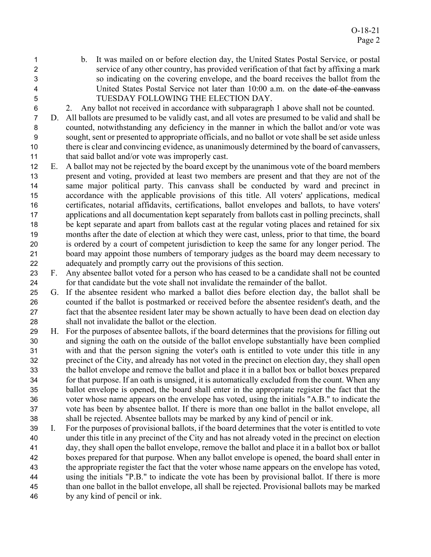- b. It was mailed on or before election day, the United States Postal Service, or postal service of any other country, has provided verification of that fact by affixing a mark so indicating on the covering envelope, and the board receives the ballot from the 4 United States Postal Service not later than 10:00 a.m. on the date of the canvass TUESDAY FOLLOWING THE ELECTION DAY.
- 2. Any ballot not received in accordance with subparagraph 1 above shall not be counted.
- D. All ballots are presumed to be validly cast, and all votes are presumed to be valid and shall be counted, notwithstanding any deficiency in the manner in which the ballot and/or vote was sought, sent or presented to appropriate officials, and no ballot or vote shall be set aside unless there is clear and convincing evidence, as unanimously determined by the board of canvassers, 11 that said ballot and/or vote was improperly cast.
- E. A ballot may not be rejected by the board except by the unanimous vote of the board members present and voting, provided at least two members are present and that they are not of the same major political party. This canvass shall be conducted by ward and precinct in accordance with the applicable provisions of this title. All voters' applications, medical certificates, notarial affidavits, certifications, ballot envelopes and ballots, to have voters' applications and all documentation kept separately from ballots cast in polling precincts, shall be kept separate and apart from ballots cast at the regular voting places and retained for six months after the date of election at which they were cast, unless, prior to that time, the board is ordered by a court of competent jurisdiction to keep the same for any longer period. The board may appoint those numbers of temporary judges as the board may deem necessary to adequately and promptly carry out the provisions of this section.
- F. Any absentee ballot voted for a person who has ceased to be a candidate shall not be counted for that candidate but the vote shall not invalidate the remainder of the ballot.
- G. If the absentee resident who marked a ballot dies before election day, the ballot shall be counted if the ballot is postmarked or received before the absentee resident's death, and the fact that the absentee resident later may be shown actually to have been dead on election day shall not invalidate the ballot or the election.
- H. For the purposes of absentee ballots, if the board determines that the provisions for filling out and signing the oath on the outside of the ballot envelope substantially have been complied with and that the person signing the voter's oath is entitled to vote under this title in any precinct of the City, and already has not voted in the precinct on election day, they shall open the ballot envelope and remove the ballot and place it in a ballot box or ballot boxes prepared for that purpose. If an oath is unsigned, it is automatically excluded from the count. When any ballot envelope is opened, the board shall enter in the appropriate register the fact that the voter whose name appears on the envelope has voted, using the initials "A.B." to indicate the vote has been by absentee ballot. If there is more than one ballot in the ballot envelope, all shall be rejected. Absentee ballots may be marked by any kind of pencil or ink.
- I. For the purposes of provisional ballots, if the board determines that the voter is entitled to vote under this title in any precinct of the City and has not already voted in the precinct on election day, they shall open the ballot envelope, remove the ballot and place it in a ballot box or ballot boxes prepared for that purpose. When any ballot envelope is opened, the board shall enter in the appropriate register the fact that the voter whose name appears on the envelope has voted, using the initials "P.B." to indicate the vote has been by provisional ballot. If there is more than one ballot in the ballot envelope, all shall be rejected. Provisional ballots may be marked by any kind of pencil or ink.